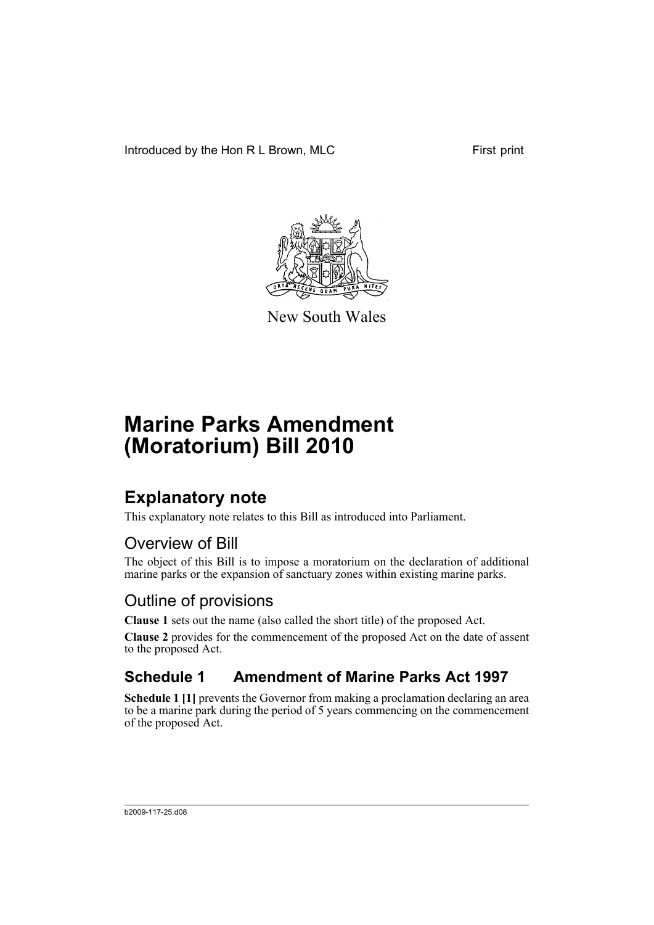Introduced by the Hon R L Brown, MLC First print



New South Wales

# **Marine Parks Amendment (Moratorium) Bill 2010**

### **Explanatory note**

This explanatory note relates to this Bill as introduced into Parliament.

#### Overview of Bill

The object of this Bill is to impose a moratorium on the declaration of additional marine parks or the expansion of sanctuary zones within existing marine parks.

#### Outline of provisions

**Clause 1** sets out the name (also called the short title) of the proposed Act.

**Clause 2** provides for the commencement of the proposed Act on the date of assent to the proposed Act.

### **Schedule 1 Amendment of Marine Parks Act 1997**

**Schedule 1 [1]** prevents the Governor from making a proclamation declaring an area to be a marine park during the period of 5 years commencing on the commencement of the proposed Act.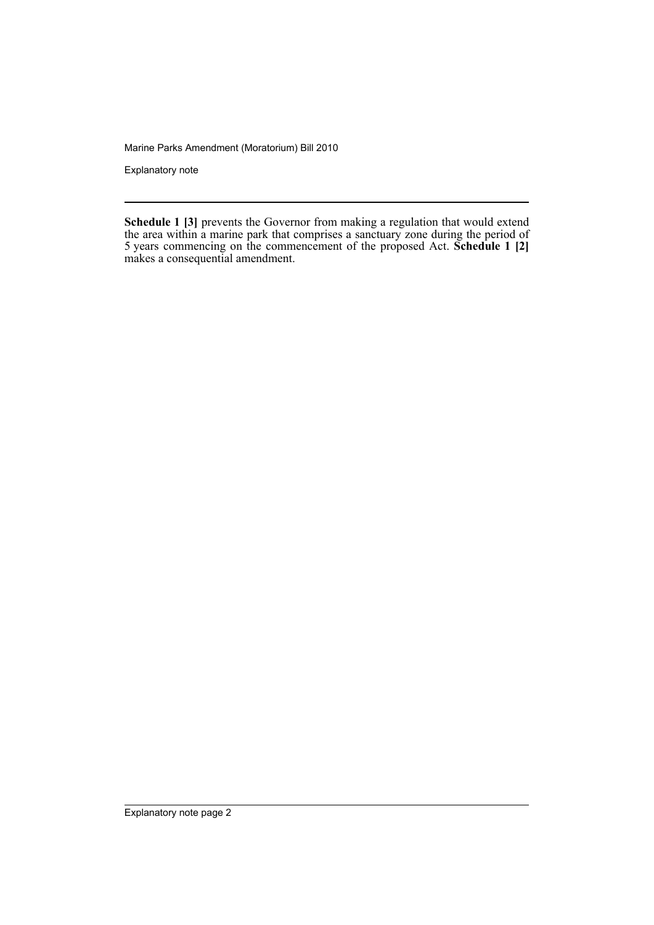Marine Parks Amendment (Moratorium) Bill 2010

Explanatory note

**Schedule 1 [3]** prevents the Governor from making a regulation that would extend the area within a marine park that comprises a sanctuary zone during the period of 5 years commencing on the commencement of the proposed Act. **Schedule 1 [2]** makes a consequential amendment.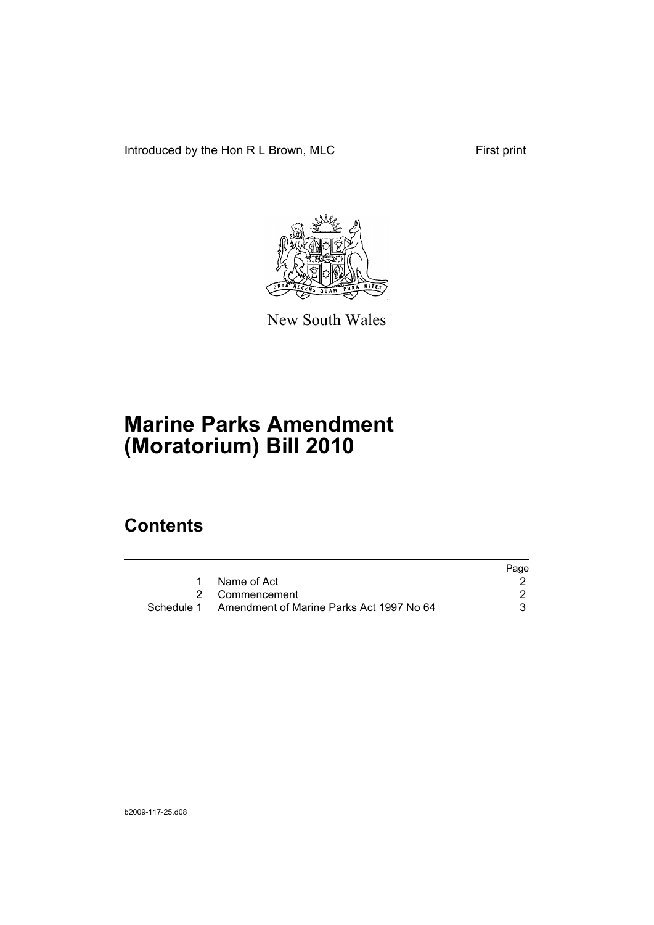Introduced by the Hon R L Brown, MLC First print



New South Wales

# **Marine Parks Amendment (Moratorium) Bill 2010**

### **Contents**

|   |                                                     | Page |
|---|-----------------------------------------------------|------|
| 1 | Name of Act                                         |      |
|   | 2 Commencement                                      |      |
|   | Schedule 1 Amendment of Marine Parks Act 1997 No 64 |      |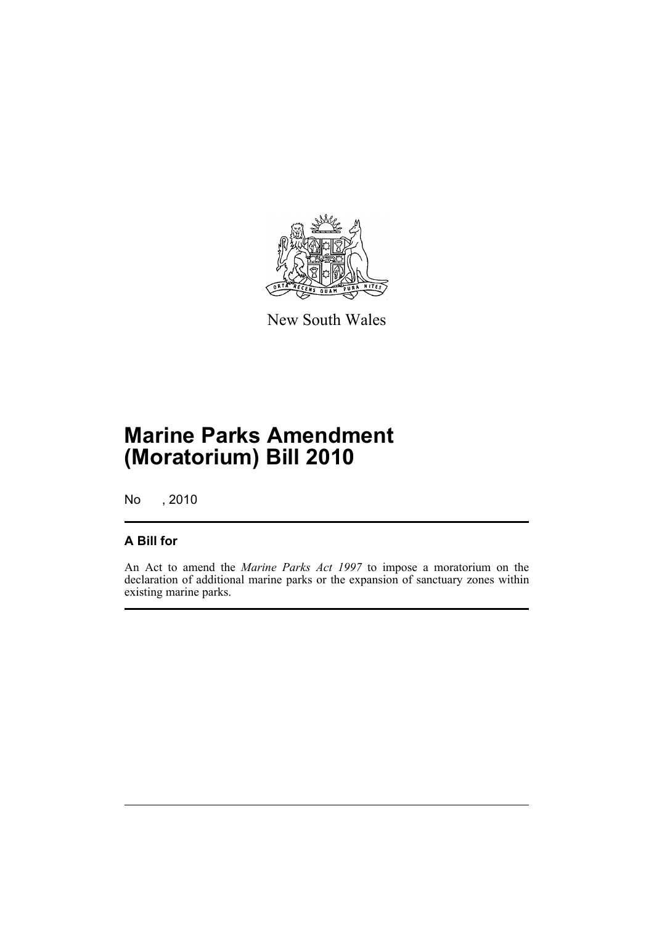

New South Wales

## **Marine Parks Amendment (Moratorium) Bill 2010**

No , 2010

#### **A Bill for**

An Act to amend the *Marine Parks Act 1997* to impose a moratorium on the declaration of additional marine parks or the expansion of sanctuary zones within existing marine parks.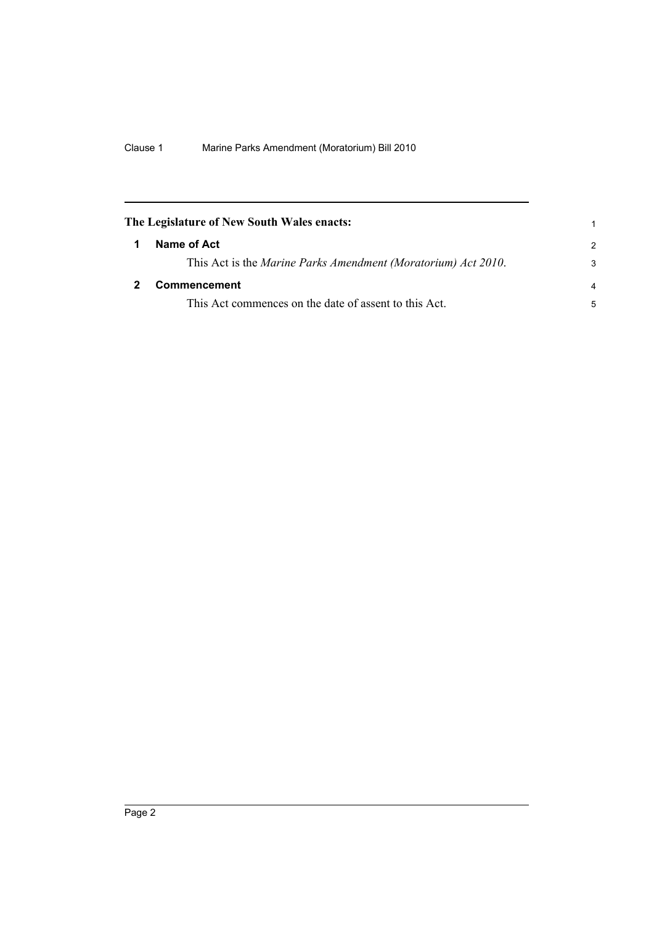<span id="page-5-1"></span><span id="page-5-0"></span>

| The Legislature of New South Wales enacts:                    |                |
|---------------------------------------------------------------|----------------|
| Name of Act                                                   | $\mathcal{P}$  |
| This Act is the Marine Parks Amendment (Moratorium) Act 2010. | 3              |
| Commencement                                                  | $\overline{a}$ |
| This Act commences on the date of assent to this Act.         | 5              |